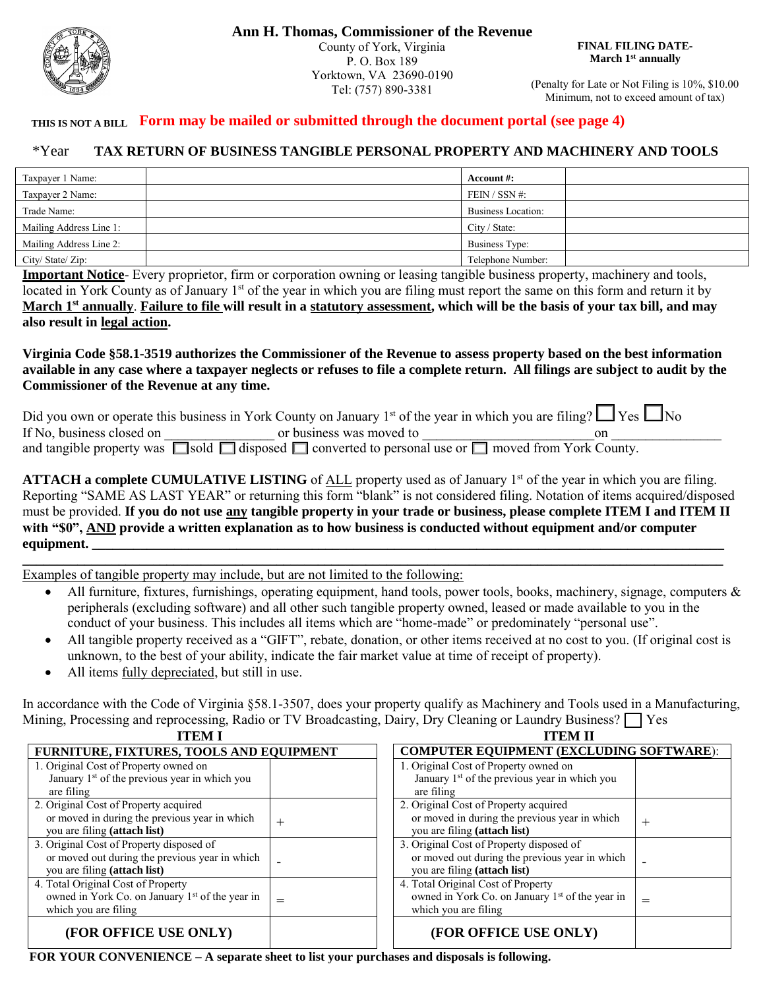

**Ann H. Thomas, Commissioner of the Revenue** County of York, Virginia P. O. Box 189 Yorktown, VA 23690-0190 Tel: (757) 890-3381

**FINAL FILING DATE-March 1st annually**

(Penalty for Late or Not Filing is 10%, \$10.00 Minimum, not to exceed amount of tax)

#### **Form may be mailed or submitted through the document portal (see page 4) THIS IS NOT A BILL**

#### **TAX RETURN OF BUSINESS TANGIBLE PERSONAL PROPERTY AND MACHINERY AND TOOLS** \*Year

| Taxpayer 1 Name:        | Account #:         |  |
|-------------------------|--------------------|--|
| Taxpayer 2 Name:        | FEIN / SSN #:      |  |
| Trade Name:             | Business Location: |  |
| Mailing Address Line 1: | City / State:      |  |
| Mailing Address Line 2: | Business Type:     |  |
| City/State/Zip:         | Telephone Number:  |  |

**Important Notice**- Every proprietor, firm or corporation owning or leasing tangible business property, machinery and tools, located in York County as of January 1<sup>st</sup> of the year in which you are filing must report the same on this form and return it by **March 1st annually**. **Failure to file will result in a statutory assessment, which will be the basis of your tax bill, and may also result in legal action.**

**Virginia Code §58.1-3519 authorizes the Commissioner of the Revenue to assess property based on the best information available in any case where a taxpayer neglects or refuses to file a complete return. All filings are subject to audit by the Commissioner of the Revenue at any time.**

|                           | Did you own or operate this business in York County on January 1 <sup>st</sup> of the year in which you are filing? $\Box$ Yes $\Box$ No |    |
|---------------------------|------------------------------------------------------------------------------------------------------------------------------------------|----|
| If No, business closed on | or business was moved to                                                                                                                 | on |
|                           | and tangible property was $\Box$ sold $\Box$ disposed $\Box$ converted to personal use or $\Box$ moved from York County.                 |    |

**ATTACH a complete CUMULATIVE LISTING** of ALL property used as of January 1<sup>st</sup> of the year in which you are filing. Reporting "SAME AS LAST YEAR" or returning this form "blank" is not considered filing. Notation of items acquired/disposed must be provided. **If you do not use any tangible property in your trade or business, please complete ITEM I and ITEM II with "\$0", AND provide a written explanation as to how business is conducted without equipment and/or computer equipment.** 

**\_\_\_\_\_\_\_\_\_\_\_\_\_\_\_\_\_\_\_\_\_\_\_\_\_\_\_\_\_\_\_\_\_\_\_\_\_\_\_\_\_\_\_\_\_\_\_\_\_\_\_\_\_\_\_\_\_\_\_\_\_\_\_\_\_\_\_\_\_\_\_\_\_\_\_\_\_\_\_\_\_\_\_\_\_\_\_\_\_\_\_\_\_\_\_\_\_\_\_\_\_\_** Examples of tangible property may include, but are not limited to the following:

- All furniture, fixtures, furnishings, operating equipment, hand tools, power tools, books, machinery, signage, computers & peripherals (excluding software) and all other such tangible property owned, leased or made available to you in the conduct of your business. This includes all items which are "home-made" or predominately "personal use".
- All tangible property received as a "GIFT", rebate, donation, or other items received at no cost to you. (If original cost is unknown, to the best of your ability, indicate the fair market value at time of receipt of property).
- All items fully depreciated, but still in use.

In accordance with the Code of Virginia §58.1-3507, does your property qualify as Machinery and Tools used in a Manufacturing, Mining, Processing and reprocessing, Radio or TV Broadcasting, Dairy, Dry Cleaning or Laundry Business?  $\Box$  Yes

| <b>ITEM I</b>                                             |                                          | <b>ITEM II</b>                                              |                                                 |  |  |
|-----------------------------------------------------------|------------------------------------------|-------------------------------------------------------------|-------------------------------------------------|--|--|
|                                                           | FURNITURE, FIXTURES, TOOLS AND EQUIPMENT |                                                             | <b>COMPUTER EQUIPMENT (EXCLUDING SOFTWARE):</b> |  |  |
| 1. Original Cost of Property owned on                     |                                          | 1. Original Cost of Property owned on                       |                                                 |  |  |
| January 1 <sup>st</sup> of the previous year in which you |                                          | January 1 <sup>st</sup> of the previous year in which you   |                                                 |  |  |
| are filing                                                |                                          | are filing                                                  |                                                 |  |  |
| 2. Original Cost of Property acquired                     |                                          | 2. Original Cost of Property acquired                       |                                                 |  |  |
| or moved in during the previous year in which             | $^{+}$                                   | or moved in during the previous year in which               | $^{+}$                                          |  |  |
| you are filing (attach list)                              |                                          | you are filing (attach list)                                |                                                 |  |  |
| 3. Original Cost of Property disposed of                  |                                          | 3. Original Cost of Property disposed of                    |                                                 |  |  |
| or moved out during the previous year in which            |                                          | or moved out during the previous year in which              |                                                 |  |  |
| you are filing (attach list)                              |                                          | you are filing (attach list)                                |                                                 |  |  |
| 4. Total Original Cost of Property                        |                                          | 4. Total Original Cost of Property                          |                                                 |  |  |
| owned in York Co. on January 1st of the year in           | $=$                                      | owned in York Co. on January 1 <sup>st</sup> of the year in | $=$                                             |  |  |
| which you are filing                                      |                                          | which you are filing                                        |                                                 |  |  |
| (FOR OFFICE USE ONLY)                                     |                                          | (FOR OFFICE USE ONLY)                                       |                                                 |  |  |

**FOR YOUR CONVENIENCE – A separate sheet to list your purchases and disposals is following.**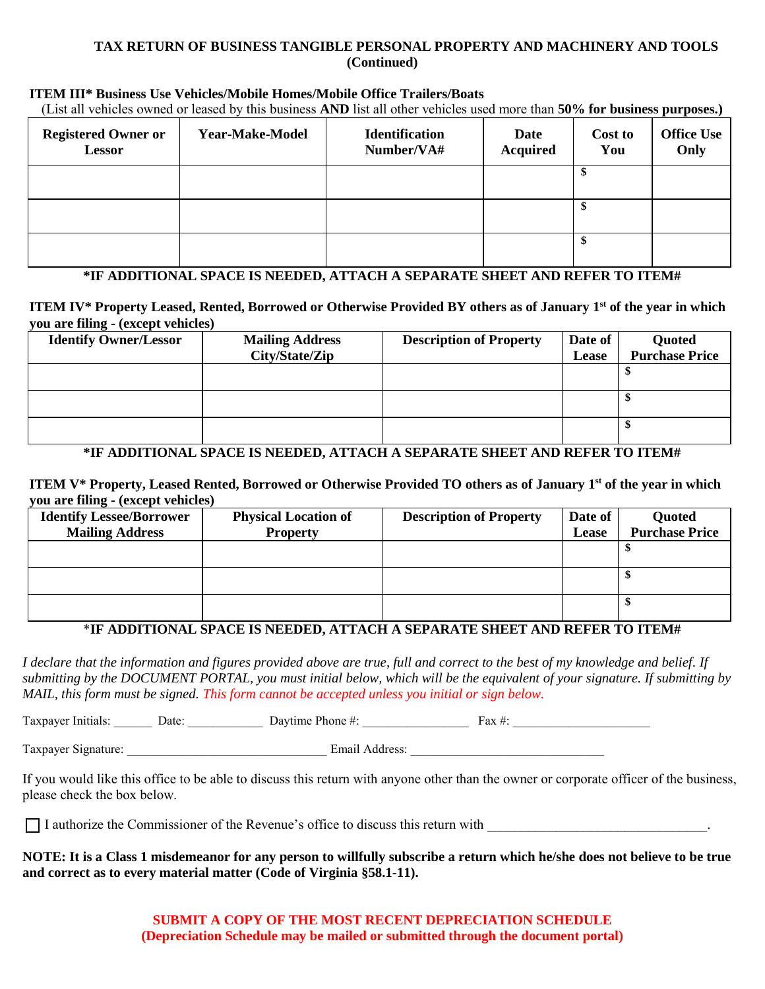#### **TAX RETURN OF BUSINESS TANGIBLE PERSONAL PROPERTY AND MACHINERY AND TOOLS (Continued)**

#### **ITEM III\* Business Use Vehicles/Mobile Homes/Mobile Office Trailers/Boats**

(List all vehicles owned or leased by this business **AND** list all other vehicles used more than **50% for business purposes.)**

| <b>Registered Owner or</b><br><b>Lessor</b> | <b>Year-Make-Model</b> | <b>Identification</b><br>Number/VA# | Date<br><b>Acquired</b> | Cost to<br>You | <b>Office Use</b><br>Only |
|---------------------------------------------|------------------------|-------------------------------------|-------------------------|----------------|---------------------------|
|                                             |                        |                                     |                         | \$             |                           |
|                                             |                        |                                     |                         | S              |                           |
|                                             |                        |                                     |                         | c              |                           |

#### **\*IF ADDITIONAL SPACE IS NEEDED, ATTACH A SEPARATE SHEET AND REFER TO ITEM#**

 **ITEM IV\* Property Leased, Rented, Borrowed or Otherwise Provided BY others as of January 1st of the year in which you are filing - (except vehicles)** 

| <b>Identify Owner/Lessor</b> | <b>Mailing Address</b><br>City/State/Zip | <b>Description of Property</b> | Date of<br>Lease | Quoted<br><b>Purchase Price</b> |
|------------------------------|------------------------------------------|--------------------------------|------------------|---------------------------------|
|                              |                                          |                                |                  |                                 |
|                              |                                          |                                |                  |                                 |
|                              |                                          |                                |                  |                                 |

# **\*IF ADDITIONAL SPACE IS NEEDED, ATTACH A SEPARATE SHEET AND REFER TO ITEM#**

 **ITEM V\* Property, Leased Rented, Borrowed or Otherwise Provided TO others as of January 1st of the year in which you are filing - (except vehicles)** 

| <b>Identify Lessee/Borrower</b> | <b>Physical Location of</b> | <b>Description of Property</b> | Date of | Quoted                |
|---------------------------------|-----------------------------|--------------------------------|---------|-----------------------|
| <b>Mailing Address</b>          | <b>Property</b>             |                                | Lease   | <b>Purchase Price</b> |
|                                 |                             |                                |         |                       |
|                                 |                             |                                |         |                       |
|                                 |                             |                                |         |                       |
|                                 |                             |                                |         |                       |
|                                 |                             |                                |         |                       |
|                                 |                             |                                |         |                       |

#### \***IF ADDITIONAL SPACE IS NEEDED, ATTACH A SEPARATE SHEET AND REFER TO ITEM#**

*I declare that the information and figures provided above are true, full and correct to the best of my knowledge and belief. If submitting by the DOCUMENT PORTAL, you must initial below, which will be the equivalent of your signature. If submitting by MAIL, this form must be signed. This form cannot be accepted unless you initial or sign below.*

Taxpayer Initials: \_\_\_\_\_\_ Date: \_\_\_\_\_\_\_\_\_\_\_\_ Daytime Phone #: \_\_\_\_\_\_\_\_\_\_\_\_\_\_\_\_\_ Fax #: \_\_\_\_\_\_\_\_\_\_\_\_\_\_\_\_\_\_\_\_\_\_

Taxpayer Signature: <br>
Email Address:

If you would like this office to be able to discuss this return with anyone other than the owner or corporate officer of the business, please check the box below.

 $\Box$  I authorize the Commissioner of the Revenue's office to discuss this return with

**NOTE: It is a Class 1 misdemeanor for any person to willfully subscribe a return which he/she does not believe to be true and correct as to every material matter (Code of Virginia §58.1-11).**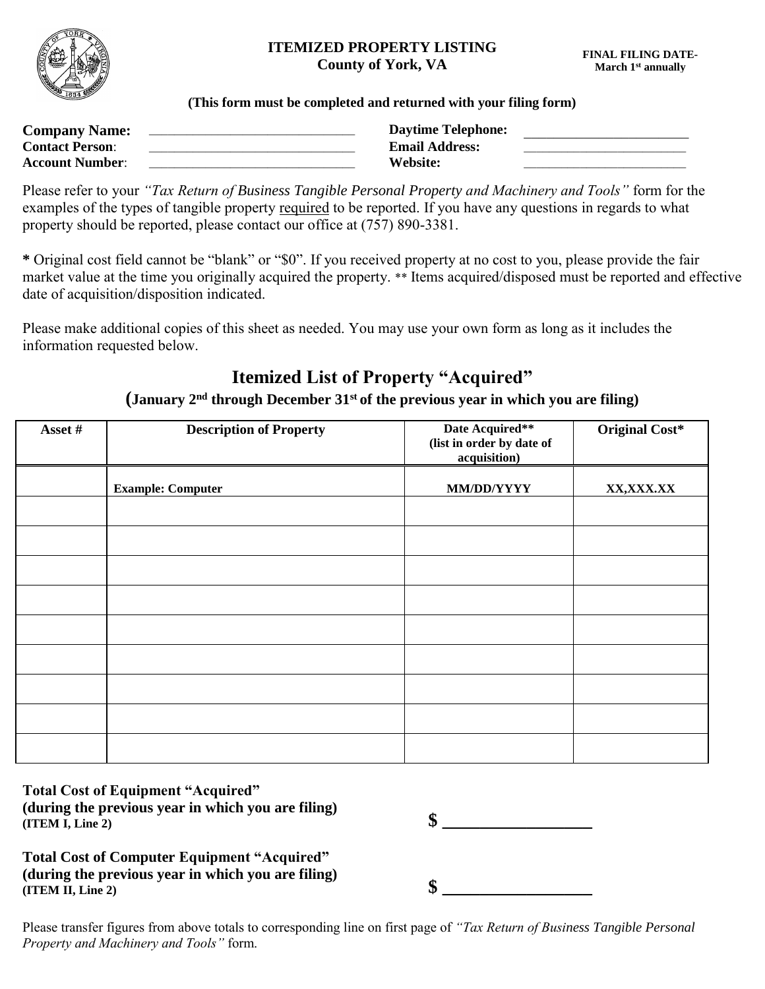

### **ITEMIZED PROPERTY LISTING County of York, VA**

#### **(This form must be completed and returned with your filing form)**

| <b>Company Name:</b>   | <b>Daytime Telephone:</b> |  |
|------------------------|---------------------------|--|
| <b>Contact Person:</b> | <b>Email Address:</b>     |  |
| <b>Account Number:</b> | Website:                  |  |

Please refer to your *"Tax Return of Business Tangible Personal Property and Machinery and Tools"* form for the examples of the types of tangible property required to be reported. If you have any questions in regards to what property should be reported, please contact our office at (757) 890-3381.

**\*** Original cost field cannot be "blank" or "\$0". If you received property at no cost to you, please provide the fair market value at the time you originally acquired the property. \*\* Items acquired/disposed must be reported and effective date of acquisition/disposition indicated.

Please make additional copies of this sheet as needed. You may use your own form as long as it includes the information requested below.

# **Itemized List of Property "Acquired"**

# **(January 2nd through December 31st of the previous year in which you are filing)**

| Asset # | <b>Description of Property</b> | Date Acquired**<br>(list in order by date of<br>acquisition) | <b>Original Cost*</b> |
|---------|--------------------------------|--------------------------------------------------------------|-----------------------|
|         | <b>Example: Computer</b>       | MM/DD/YYYY                                                   | XX,XXX.XX             |
|         |                                |                                                              |                       |
|         |                                |                                                              |                       |
|         |                                |                                                              |                       |
|         |                                |                                                              |                       |
|         |                                |                                                              |                       |
|         |                                |                                                              |                       |
|         |                                |                                                              |                       |
|         |                                |                                                              |                       |
|         |                                |                                                              |                       |
|         |                                |                                                              |                       |

**Total Cost of Equipment "Acquired" (during the previous year in which you are filing) (ITEM I, Line 2) \$ \_\_\_\_\_\_\_\_\_\_\_\_\_\_\_\_**

| ¢<br>Ψ |  |  |  |  |  |
|--------|--|--|--|--|--|
|        |  |  |  |  |  |

**Total Cost of Computer Equipment "Acquired" (during the previous year in which you are filing)**  (ITEM II, Line 2)  $\qquad \qquad$  **\$** 

Please transfer figures from above totals to corresponding line on first page of *"Tax Return of Business Tangible Personal Property and Machinery and Tools"* form.